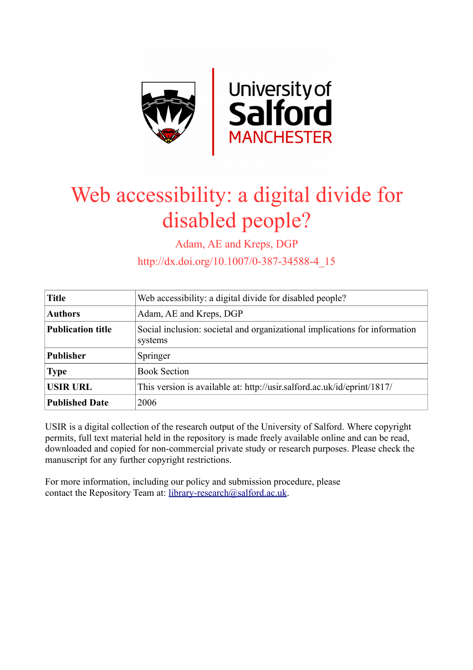

# Web accessibility: a digital divide for disabled people?

Adam, AE and Kreps, DGP

http://dx.doi.org/10.1007/0-387-34588-4\_15

| <b>Title</b>             | Web accessibility: a digital divide for disabled people?                              |
|--------------------------|---------------------------------------------------------------------------------------|
| <b>Authors</b>           | Adam, AE and Kreps, DGP                                                               |
| <b>Publication title</b> | Social inclusion: societal and organizational implications for information<br>systems |
| <b>Publisher</b>         | Springer                                                                              |
| <b>Type</b>              | <b>Book Section</b>                                                                   |
| <b>USIR URL</b>          | This version is available at: http://usir.salford.ac.uk/id/eprint/1817/               |
| <b>Published Date</b>    | 2006                                                                                  |

USIR is a digital collection of the research output of the University of Salford. Where copyright permits, full text material held in the repository is made freely available online and can be read, downloaded and copied for non-commercial private study or research purposes. Please check the manuscript for any further copyright restrictions.

For more information, including our policy and submission procedure, please contact the Repository Team at: [library-research@salford.ac.uk.](mailto:library-research@salford.ac.uk)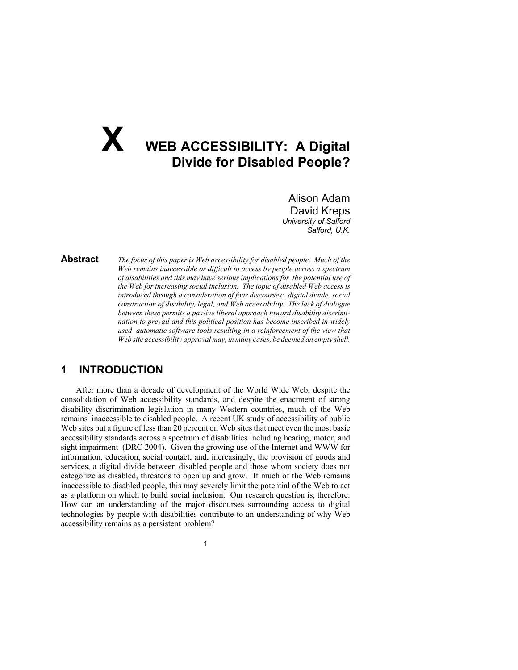# **X WEB ACCESSIBILITY: A Digital Divide for Disabled People?**

Alison Adam David Kreps *University of Salford Salford, U.K.*

**Abstract** *The focus of this paper is Web accessibility for disabled people. Much of the Web remains inaccessible or difficult to access by people across a spectrum of disabilities and this may have serious implications for the potential use of the Web for increasing social inclusion. The topic of disabled Web access is introduced through a consideration of four discourses: digital divide, social construction of disability, legal, and Web accessibility. The lack of dialogue between these permits a passive liberal approach toward disability discrimination to prevail and this political position has become inscribed in widely used automatic software tools resulting in a reinforcement of the view that Web site accessibility approval may, in many cases, be deemed an empty shell.*

#### **1 INTRODUCTION**

After more than a decade of development of the World Wide Web, despite the consolidation of Web accessibility standards, and despite the enactment of strong disability discrimination legislation in many Western countries, much of the Web remains inaccessible to disabled people. A recent UK study of accessibility of public Web sites put a figure of less than 20 percent on Web sites that meet even the most basic accessibility standards across a spectrum of disabilities including hearing, motor, and sight impairment (DRC 2004). Given the growing use of the Internet and WWW for information, education, social contact, and, increasingly, the provision of goods and services, a digital divide between disabled people and those whom society does not categorize as disabled, threatens to open up and grow. If much of the Web remains inaccessible to disabled people, this may severely limit the potential of the Web to act as a platform on which to build social inclusion. Our research question is, therefore: How can an understanding of the major discourses surrounding access to digital technologies by people with disabilities contribute to an understanding of why Web accessibility remains as a persistent problem?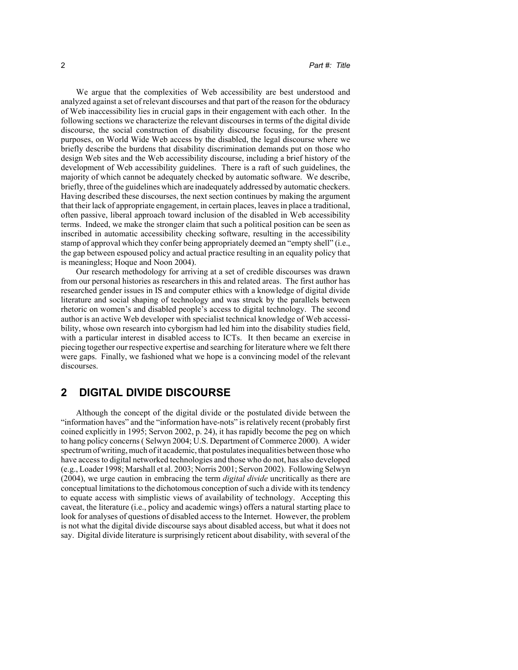We argue that the complexities of Web accessibility are best understood and analyzed against a set of relevant discourses and that part of the reason for the obduracy of Web inaccessibility lies in crucial gaps in their engagement with each other. In the following sections we characterize the relevant discourses in terms of the digital divide discourse, the social construction of disability discourse focusing, for the present purposes, on World Wide Web access by the disabled, the legal discourse where we briefly describe the burdens that disability discrimination demands put on those who design Web sites and the Web accessibility discourse, including a brief history of the development of Web accessibility guidelines. There is a raft of such guidelines, the majority of which cannot be adequately checked by automatic software. We describe, briefly, three of the guidelines which are inadequately addressed by automatic checkers. Having described these discourses, the next section continues by making the argument that their lack of appropriate engagement, in certain places, leaves in place a traditional, often passive, liberal approach toward inclusion of the disabled in Web accessibility terms. Indeed, we make the stronger claim that such a political position can be seen as inscribed in automatic accessibility checking software, resulting in the accessibility stamp of approval which they confer being appropriately deemed an "empty shell" (i.e., the gap between espoused policy and actual practice resulting in an equality policy that is meaningless; Hoque and Noon 2004).

Our research methodology for arriving at a set of credible discourses was drawn from our personal histories as researchers in this and related areas. The first author has researched gender issues in IS and computer ethics with a knowledge of digital divide literature and social shaping of technology and was struck by the parallels between rhetoric on women's and disabled people's access to digital technology. The second author is an active Web developer with specialist technical knowledge of Web accessibility, whose own research into cyborgism had led him into the disability studies field, with a particular interest in disabled access to ICTs. It then became an exercise in piecing together our respective expertise and searching for literature where we felt there were gaps. Finally, we fashioned what we hope is a convincing model of the relevant discourses.

#### **2 DIGITAL DIVIDE DISCOURSE**

Although the concept of the digital divide or the postulated divide between the "information haves" and the "information have-nots" is relatively recent (probably first coined explicitly in 1995; Servon 2002, p. 24), it has rapidly become the peg on which to hang policy concerns ( Selwyn 2004; U.S. Department of Commerce 2000). A wider spectrum of writing, much of it academic, that postulates inequalities between those who have access to digital networked technologies and those who do not, has also developed (e.g., Loader 1998; Marshall et al. 2003; Norris 2001; Servon 2002). Following Selwyn (2004), we urge caution in embracing the term *digital divide* uncritically as there are conceptual limitations to the dichotomous conception of such a divide with its tendency to equate access with simplistic views of availability of technology. Accepting this caveat, the literature (i.e., policy and academic wings) offers a natural starting place to look for analyses of questions of disabled access to the Internet. However, the problem is not what the digital divide discourse says about disabled access, but what it does not say. Digital divide literature is surprisingly reticent about disability, with several of the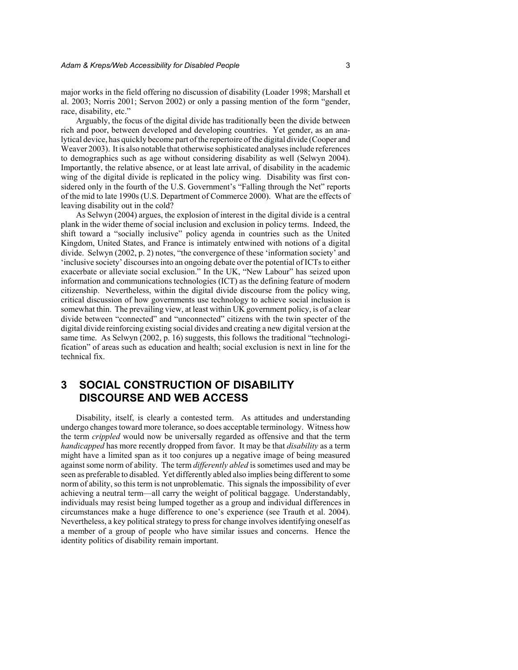major works in the field offering no discussion of disability (Loader 1998; Marshall et al. 2003; Norris 2001; Servon 2002) or only a passing mention of the form "gender, race, disability, etc."

Arguably, the focus of the digital divide has traditionally been the divide between rich and poor, between developed and developing countries. Yet gender, as an analytical device, has quickly become part of the repertoire of the digital divide (Cooper and Weaver 2003). It is also notable that otherwise sophisticated analyses include references to demographics such as age without considering disability as well (Selwyn 2004). Importantly, the relative absence, or at least late arrival, of disability in the academic wing of the digital divide is replicated in the policy wing. Disability was first considered only in the fourth of the U.S. Government's "Falling through the Net" reports of the mid to late 1990s (U.S. Department of Commerce 2000). What are the effects of leaving disability out in the cold?

As Selwyn (2004) argues, the explosion of interest in the digital divide is a central plank in the wider theme of social inclusion and exclusion in policy terms. Indeed, the shift toward a "socially inclusive" policy agenda in countries such as the United Kingdom, United States, and France is intimately entwined with notions of a digital divide. Selwyn (2002, p. 2) notes, "the convergence of these 'information society' and 'inclusive society' discourses into an ongoing debate over the potential of ICTs to either exacerbate or alleviate social exclusion." In the UK, "New Labour" has seized upon information and communications technologies (ICT) as the defining feature of modern citizenship. Nevertheless, within the digital divide discourse from the policy wing, critical discussion of how governments use technology to achieve social inclusion is somewhat thin. The prevailing view, at least within UK government policy, is of a clear divide between "connected" and "unconnected" citizens with the twin specter of the digital divide reinforcing existing social divides and creating a new digital version at the same time. As Selwyn (2002, p. 16) suggests, this follows the traditional "technologification" of areas such as education and health; social exclusion is next in line for the technical fix.

#### **3 SOCIAL CONSTRUCTION OF DISABILITY DISCOURSE AND WEB ACCESS**

Disability, itself, is clearly a contested term. As attitudes and understanding undergo changes toward more tolerance, so does acceptable terminology. Witness how the term *crippled* would now be universally regarded as offensive and that the term *handicapped* has more recently dropped from favor. It may be that *disability* as a term might have a limited span as it too conjures up a negative image of being measured against some norm of ability. The term *differently abled* is sometimes used and may be seen as preferable to disabled. Yet differently abled also implies being different to some norm of ability, so this term is not unproblematic. This signals the impossibility of ever achieving a neutral term—all carry the weight of political baggage. Understandably, individuals may resist being lumped together as a group and individual differences in circumstances make a huge difference to one's experience (see Trauth et al. 2004). Nevertheless, a key political strategy to press for change involves identifying oneself as a member of a group of people who have similar issues and concerns. Hence the identity politics of disability remain important.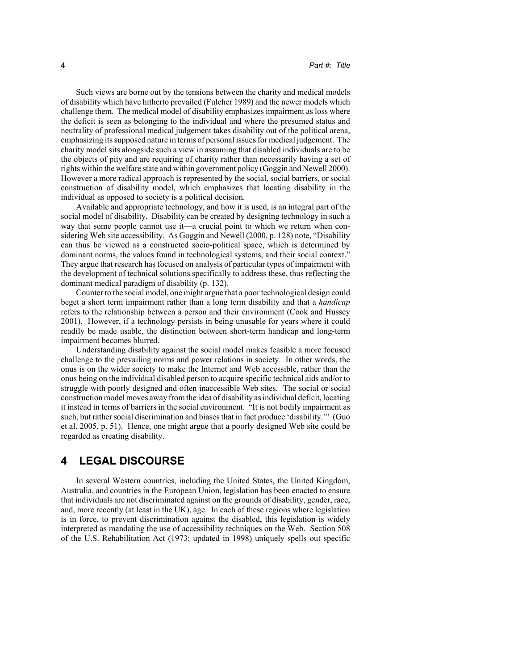Such views are borne out by the tensions between the charity and medical models of disability which have hitherto prevailed (Fulcher 1989) and the newer models which challenge them. The medical model of disability emphasizes impairment as loss where the deficit is seen as belonging to the individual and where the presumed status and neutrality of professional medical judgement takes disability out of the political arena, emphasizing its supposed nature in terms of personal issues for medical judgement. The charity model sits alongside such a view in assuming that disabled individuals are to be the objects of pity and are requiring of charity rather than necessarily having a set of rights within the welfare state and within government policy (Goggin and Newell 2000). However a more radical approach is represented by the social, social barriers, or social construction of disability model, which emphasizes that locating disability in the individual as opposed to society is a political decision.

Available and appropriate technology, and how it is used, is an integral part of the social model of disability. Disability can be created by designing technology in such a way that some people cannot use it—a crucial point to which we return when considering Web site accessibility. As Goggin and Newell (2000, p. 128) note, "Disability can thus be viewed as a constructed socio-political space, which is determined by dominant norms, the values found in technological systems, and their social context." They argue that research has focused on analysis of particular types of impairment with the development of technical solutions specifically to address these, thus reflecting the dominant medical paradigm of disability (p. 132).

Counter to the social model, one might argue that a poor technological design could beget a short term impairment rather than a long term disability and that a *handicap* refers to the relationship between a person and their environment (Cook and Hussey 2001). However, if a technology persists in being unusable for years where it could readily be made usable, the distinction between short-term handicap and long-term impairment becomes blurred.

Understanding disability against the social model makes feasible a more focused challenge to the prevailing norms and power relations in society. In other words, the onus is on the wider society to make the Internet and Web accessible, rather than the onus being on the individual disabled person to acquire specific technical aids and/or to struggle with poorly designed and often inaccessible Web sites. The social or social construction model moves away from the idea of disability as individual deficit, locating it instead in terms of barriers in the social environment. "It is not bodily impairment as such, but rather social discrimination and biases that in fact produce 'disability.'" (Guo et al. 2005, p. 51). Hence, one might argue that a poorly designed Web site could be regarded as creating disability.

#### **4 LEGAL DISCOURSE**

In several Western countries, including the United States, the United Kingdom, Australia, and countries in the European Union, legislation has been enacted to ensure that individuals are not discriminated against on the grounds of disability, gender, race, and, more recently (at least in the UK), age. In each of these regions where legislation is in force, to prevent discrimination against the disabled, this legislation is widely interpreted as mandating the use of accessibility techniques on the Web. Section 508 of the U.S. Rehabilitation Act (1973; updated in 1998) uniquely spells out specific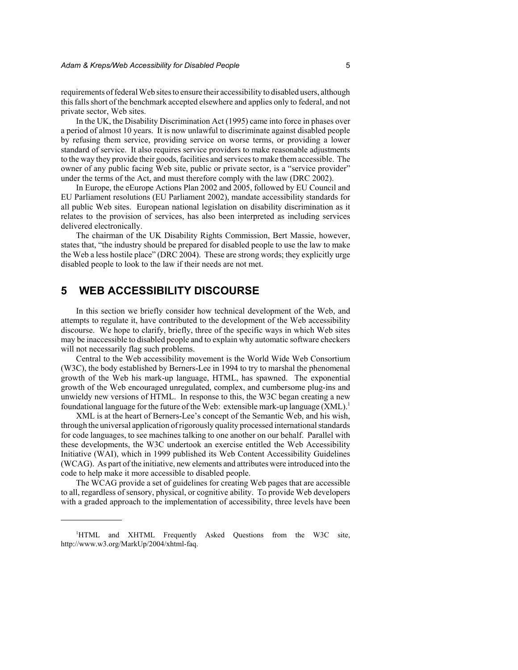requirements of federal Web sites to ensure their accessibility to disabled users, although this falls short of the benchmark accepted elsewhere and applies only to federal, and not private sector, Web sites.

In the UK, the Disability Discrimination Act (1995) came into force in phases over a period of almost 10 years. It is now unlawful to discriminate against disabled people by refusing them service, providing service on worse terms, or providing a lower standard of service. It also requires service providers to make reasonable adjustments to the way they provide their goods, facilities and services to make them accessible. The owner of any public facing Web site, public or private sector, is a "service provider" under the terms of the Act, and must therefore comply with the law (DRC 2002).

In Europe, the eEurope Actions Plan 2002 and 2005, followed by EU Council and EU Parliament resolutions (EU Parliament 2002), mandate accessibility standards for all public Web sites. European national legislation on disability discrimination as it relates to the provision of services, has also been interpreted as including services delivered electronically.

The chairman of the UK Disability Rights Commission, Bert Massie, however, states that, "the industry should be prepared for disabled people to use the law to make the Web a less hostile place" (DRC 2004). These are strong words; they explicitly urge disabled people to look to the law if their needs are not met.

#### **5 WEB ACCESSIBILITY DISCOURSE**

In this section we briefly consider how technical development of the Web, and attempts to regulate it, have contributed to the development of the Web accessibility discourse. We hope to clarify, briefly, three of the specific ways in which Web sites may be inaccessible to disabled people and to explain why automatic software checkers will not necessarily flag such problems.

Central to the Web accessibility movement is the World Wide Web Consortium (W3C), the body established by Berners-Lee in 1994 to try to marshal the phenomenal growth of the Web his mark-up language, HTML, has spawned. The exponential growth of the Web encouraged unregulated, complex, and cumbersome plug-ins and unwieldy new versions of HTML. In response to this, the W3C began creating a new foundational language for the future of the Web: extensible mark-up language  $(XML)^{1}$ .

XML is at the heart of Berners-Lee's concept of the Semantic Web, and his wish, through the universal application of rigorously quality processed international standards for code languages, to see machines talking to one another on our behalf. Parallel with these developments, the W3C undertook an exercise entitled the Web Accessibility Initiative (WAI), which in 1999 published its Web Content Accessibility Guidelines (WCAG). As part of the initiative, new elements and attributes were introduced into the code to help make it more accessible to disabled people.

The WCAG provide a set of guidelines for creating Web pages that are accessible to all, regardless of sensory, physical, or cognitive ability. To provide Web developers with a graded approach to the implementation of accessibility, three levels have been

<sup>&</sup>lt;sup>1</sup>HTML and XHTML Frequently Asked Questions from the W3C site, http://www.w3.org/MarkUp/2004/xhtml-faq.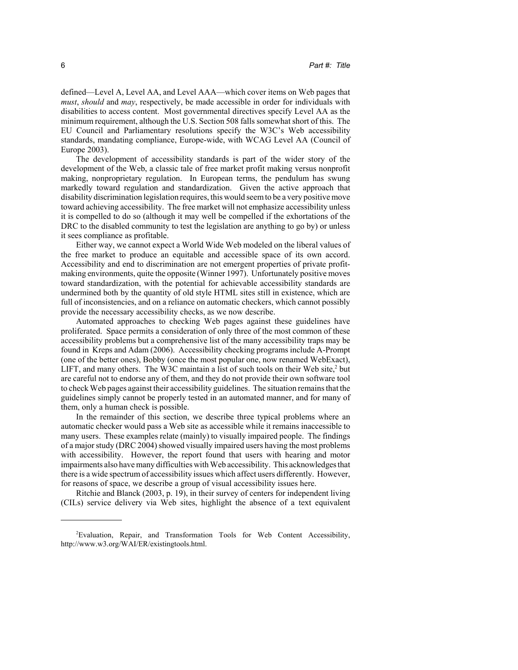defined—Level A, Level AA, and Level AAA—which cover items on Web pages that *must*, *should* and *may*, respectively, be made accessible in order for individuals with disabilities to access content. Most governmental directives specify Level AA as the minimum requirement, although the U.S. Section 508 falls somewhat short of this. The EU Council and Parliamentary resolutions specify the W3C's Web accessibility standards, mandating compliance, Europe-wide, with WCAG Level AA (Council of Europe 2003).

The development of accessibility standards is part of the wider story of the development of the Web, a classic tale of free market profit making versus nonprofit making, nonproprietary regulation. In European terms, the pendulum has swung markedly toward regulation and standardization. Given the active approach that disability discrimination legislation requires, this would seem to be a very positive move toward achieving accessibility. The free market will not emphasize accessibility unless it is compelled to do so (although it may well be compelled if the exhortations of the DRC to the disabled community to test the legislation are anything to go by) or unless it sees compliance as profitable.

Either way, we cannot expect a World Wide Web modeled on the liberal values of the free market to produce an equitable and accessible space of its own accord. Accessibility and end to discrimination are not emergent properties of private profitmaking environments, quite the opposite (Winner 1997). Unfortunately positive moves toward standardization, with the potential for achievable accessibility standards are undermined both by the quantity of old style HTML sites still in existence, which are full of inconsistencies, and on a reliance on automatic checkers, which cannot possibly provide the necessary accessibility checks, as we now describe.

Automated approaches to checking Web pages against these guidelines have proliferated. Space permits a consideration of only three of the most common of these accessibility problems but a comprehensive list of the many accessibility traps may be found in Kreps and Adam (2006). Accessibility checking programs include A-Prompt (one of the better ones), Bobby (once the most popular one, now renamed WebExact), LIFT, and many others. The W3C maintain a list of such tools on their Web site, $2$  but are careful not to endorse any of them, and they do not provide their own software tool to check Web pages against their accessibility guidelines. The situation remains that the guidelines simply cannot be properly tested in an automated manner, and for many of them, only a human check is possible.

In the remainder of this section, we describe three typical problems where an automatic checker would pass a Web site as accessible while it remains inaccessible to many users. These examples relate (mainly) to visually impaired people. The findings of a major study (DRC 2004) showed visually impaired users having the most problems with accessibility. However, the report found that users with hearing and motor impairments also have many difficulties with Web accessibility. This acknowledges that there is a wide spectrum of accessibility issues which affect users differently. However, for reasons of space, we describe a group of visual accessibility issues here.

Ritchie and Blanck (2003, p. 19), in their survey of centers for independent living (CILs) service delivery via Web sites, highlight the absence of a text equivalent

<sup>&</sup>lt;sup>2</sup>Evaluation, Repair, and Transformation Tools for Web Content Accessibility, http://www.w3.org/WAI/ER/existingtools.html.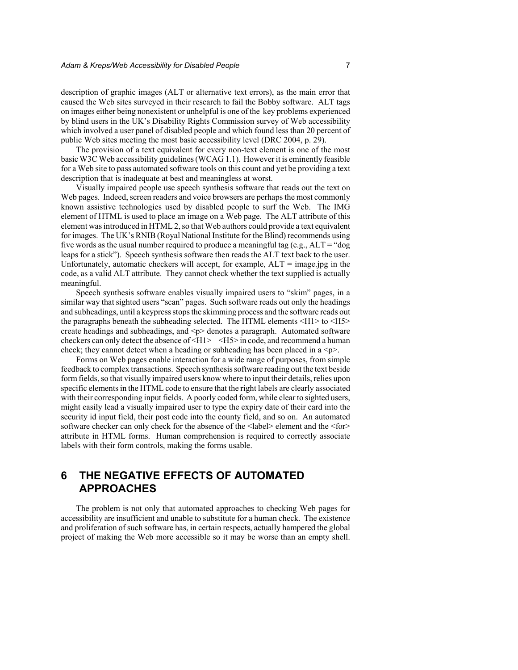description of graphic images (ALT or alternative text errors), as the main error that caused the Web sites surveyed in their research to fail the Bobby software. ALT tags on images either being nonexistent or unhelpful is one of the key problems experienced by blind users in the UK's Disability Rights Commission survey of Web accessibility which involved a user panel of disabled people and which found less than 20 percent of public Web sites meeting the most basic accessibility level (DRC 2004, p. 29).

The provision of a text equivalent for every non-text element is one of the most basic W3C Web accessibility guidelines (WCAG 1.1). However it is eminently feasible for a Web site to pass automated software tools on this count and yet be providing a text description that is inadequate at best and meaningless at worst.

Visually impaired people use speech synthesis software that reads out the text on Web pages. Indeed, screen readers and voice browsers are perhaps the most commonly known assistive technologies used by disabled people to surf the Web. The IMG element of HTML is used to place an image on a Web page. The ALT attribute of this element was introduced in HTML 2, so that Web authors could provide a text equivalent for images. The UK's RNIB (Royal National Institute for the Blind) recommends using five words as the usual number required to produce a meaningful tag (e.g.,  $ALT = "dog$ ) leaps for a stick"). Speech synthesis software then reads the ALT text back to the user. Unfortunately, automatic checkers will accept, for example,  $ALT = image.jpg$  in the code, as a valid ALT attribute. They cannot check whether the text supplied is actually meaningful.

Speech synthesis software enables visually impaired users to "skim" pages, in a similar way that sighted users "scan" pages. Such software reads out only the headings and subheadings, until a keypress stops the skimming process and the software reads out the paragraphs beneath the subheading selected. The HTML elements <H1> to <H5> create headings and subheadings, and  $\langle p \rangle$  denotes a paragraph. Automated software checkers can only detect the absence of  $\langle H1 \rangle - \langle H5 \rangle$  in code, and recommend a human check; they cannot detect when a heading or subheading has been placed in a  $\langle p \rangle$ .

Forms on Web pages enable interaction for a wide range of purposes, from simple feedback to complex transactions. Speech synthesis software reading out the text beside form fields, so that visually impaired users know where to input their details, relies upon specific elements in the HTML code to ensure that the right labels are clearly associated with their corresponding input fields. A poorly coded form, while clear to sighted users, might easily lead a visually impaired user to type the expiry date of their card into the security id input field, their post code into the county field, and so on. An automated software checker can only check for the absence of the  $\langle \text{label} \rangle$  element and the  $\langle \text{for} \rangle$ attribute in HTML forms. Human comprehension is required to correctly associate labels with their form controls, making the forms usable.

#### **6 THE NEGATIVE EFFECTS OF AUTOMATED APPROACHES**

The problem is not only that automated approaches to checking Web pages for accessibility are insufficient and unable to substitute for a human check. The existence and proliferation of such software has, in certain respects, actually hampered the global project of making the Web more accessible so it may be worse than an empty shell.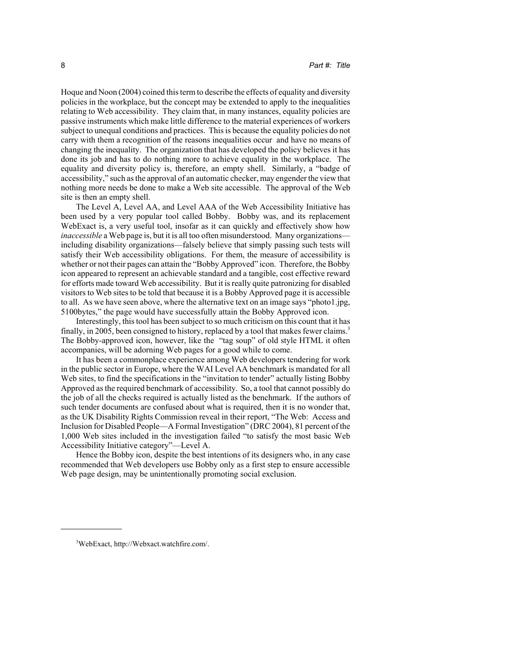Hoque and Noon (2004) coined this term to describe the effects of equality and diversity policies in the workplace, but the concept may be extended to apply to the inequalities relating to Web accessibility. They claim that, in many instances, equality policies are passive instruments which make little difference to the material experiences of workers subject to unequal conditions and practices. This is because the equality policies do not carry with them a recognition of the reasons inequalities occur and have no means of changing the inequality. The organization that has developed the policy believes it has done its job and has to do nothing more to achieve equality in the workplace. The equality and diversity policy is, therefore, an empty shell. Similarly, a "badge of accessibility," such as the approval of an automatic checker, may engender the view that nothing more needs be done to make a Web site accessible. The approval of the Web site is then an empty shell.

The Level A, Level AA, and Level AAA of the Web Accessibility Initiative has been used by a very popular tool called Bobby. Bobby was, and its replacement WebExact is, a very useful tool, insofar as it can quickly and effectively show how *inaccessible* a Web page is, but it is all too often misunderstood. Many organizations including disability organizations—falsely believe that simply passing such tests will satisfy their Web accessibility obligations. For them, the measure of accessibility is whether or not their pages can attain the "Bobby Approved" icon. Therefore, the Bobby icon appeared to represent an achievable standard and a tangible, cost effective reward for efforts made toward Web accessibility. But it is really quite patronizing for disabled visitors to Web sites to be told that because it is a Bobby Approved page it is accessible to all. As we have seen above, where the alternative text on an image says "photo1.jpg, 5100bytes," the page would have successfully attain the Bobby Approved icon.

Interestingly, this tool has been subject to so much criticism on this count that it has finally, in 2005, been consigned to history, replaced by a tool that makes fewer claims.<sup>3</sup> The Bobby-approved icon, however, like the "tag soup" of old style HTML it often accompanies, will be adorning Web pages for a good while to come.

It has been a commonplace experience among Web developers tendering for work in the public sector in Europe, where the WAI Level AA benchmark is mandated for all Web sites, to find the specifications in the "invitation to tender" actually listing Bobby Approved as the required benchmark of accessibility. So, a tool that cannot possibly do the job of all the checks required is actually listed as the benchmark. If the authors of such tender documents are confused about what is required, then it is no wonder that, as the UK Disability Rights Commission reveal in their report, "The Web: Access and Inclusion for Disabled People—A Formal Investigation" (DRC 2004), 81 percent of the 1,000 Web sites included in the investigation failed "to satisfy the most basic Web Accessibility Initiative category"—Level A.

Hence the Bobby icon, despite the best intentions of its designers who, in any case recommended that Web developers use Bobby only as a first step to ensure accessible Web page design, may be unintentionally promoting social exclusion.

<sup>3</sup> WebExact, http://Webxact.watchfire.com/.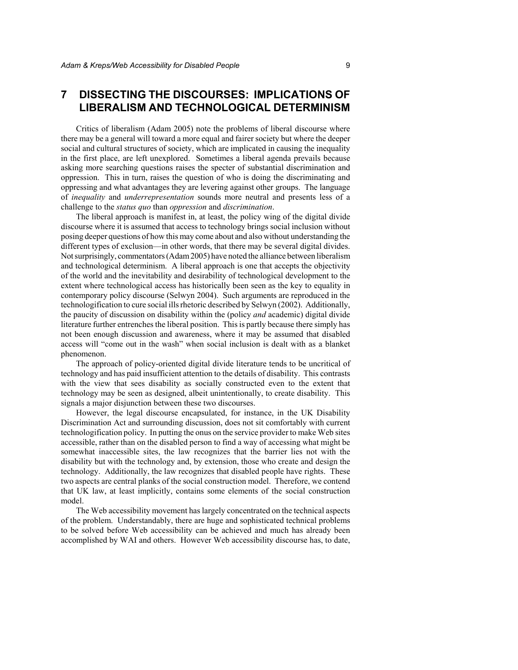## **7 DISSECTING THE DISCOURSES: IMPLICATIONS OF LIBERALISM AND TECHNOLOGICAL DETERMINISM**

Critics of liberalism (Adam 2005) note the problems of liberal discourse where there may be a general will toward a more equal and fairer society but where the deeper social and cultural structures of society, which are implicated in causing the inequality in the first place, are left unexplored. Sometimes a liberal agenda prevails because asking more searching questions raises the specter of substantial discrimination and oppression. This in turn, raises the question of who is doing the discriminating and oppressing and what advantages they are levering against other groups. The language of *inequality* and *underrepresentation* sounds more neutral and presents less of a challenge to the *status quo* than *oppression* and *discrimination*.

The liberal approach is manifest in, at least, the policy wing of the digital divide discourse where it is assumed that access to technology brings social inclusion without posing deeper questions of how this may come about and also without understanding the different types of exclusion—in other words, that there may be several digital divides. Not surprisingly, commentators (Adam 2005) have noted the alliance between liberalism and technological determinism. A liberal approach is one that accepts the objectivity of the world and the inevitability and desirability of technological development to the extent where technological access has historically been seen as the key to equality in contemporary policy discourse (Selwyn 2004). Such arguments are reproduced in the technologification to cure social ills rhetoric described by Selwyn (2002). Additionally, the paucity of discussion on disability within the (policy *and* academic) digital divide literature further entrenches the liberal position. This is partly because there simply has not been enough discussion and awareness, where it may be assumed that disabled access will "come out in the wash" when social inclusion is dealt with as a blanket phenomenon.

The approach of policy-oriented digital divide literature tends to be uncritical of technology and has paid insufficient attention to the details of disability. This contrasts with the view that sees disability as socially constructed even to the extent that technology may be seen as designed, albeit unintentionally, to create disability. This signals a major disjunction between these two discourses.

However, the legal discourse encapsulated, for instance, in the UK Disability Discrimination Act and surrounding discussion, does not sit comfortably with current technologification policy. In putting the onus on the service provider to make Web sites accessible, rather than on the disabled person to find a way of accessing what might be somewhat inaccessible sites, the law recognizes that the barrier lies not with the disability but with the technology and, by extension, those who create and design the technology. Additionally, the law recognizes that disabled people have rights. These two aspects are central planks of the social construction model. Therefore, we contend that UK law, at least implicitly, contains some elements of the social construction model.

The Web accessibility movement has largely concentrated on the technical aspects of the problem. Understandably, there are huge and sophisticated technical problems to be solved before Web accessibility can be achieved and much has already been accomplished by WAI and others. However Web accessibility discourse has, to date,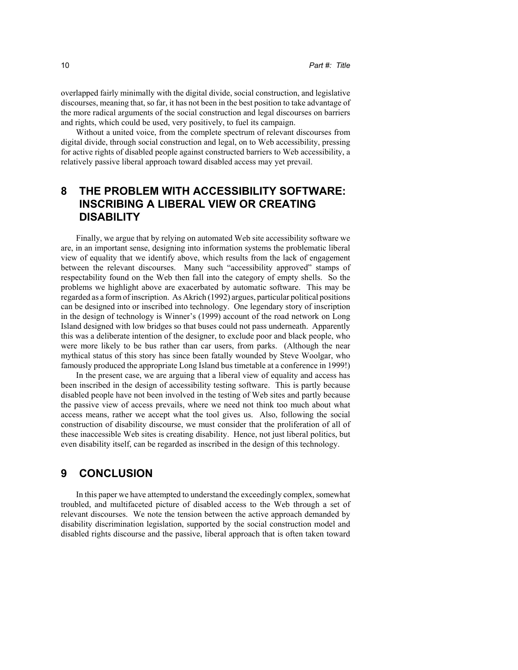overlapped fairly minimally with the digital divide, social construction, and legislative discourses, meaning that, so far, it has not been in the best position to take advantage of the more radical arguments of the social construction and legal discourses on barriers and rights, which could be used, very positively, to fuel its campaign.

Without a united voice, from the complete spectrum of relevant discourses from digital divide, through social construction and legal, on to Web accessibility, pressing for active rights of disabled people against constructed barriers to Web accessibility, a relatively passive liberal approach toward disabled access may yet prevail.

### **8 THE PROBLEM WITH ACCESSIBILITY SOFTWARE: INSCRIBING A LIBERAL VIEW OR CREATING DISABILITY**

Finally, we argue that by relying on automated Web site accessibility software we are, in an important sense, designing into information systems the problematic liberal view of equality that we identify above, which results from the lack of engagement between the relevant discourses. Many such "accessibility approved" stamps of respectability found on the Web then fall into the category of empty shells. So the problems we highlight above are exacerbated by automatic software. This may be regarded as a form of inscription. As Akrich (1992) argues, particular political positions can be designed into or inscribed into technology. One legendary story of inscription in the design of technology is Winner's (1999) account of the road network on Long Island designed with low bridges so that buses could not pass underneath. Apparently this was a deliberate intention of the designer, to exclude poor and black people, who were more likely to be bus rather than car users, from parks. (Although the near mythical status of this story has since been fatally wounded by Steve Woolgar, who famously produced the appropriate Long Island bus timetable at a conference in 1999!)

In the present case, we are arguing that a liberal view of equality and access has been inscribed in the design of accessibility testing software. This is partly because disabled people have not been involved in the testing of Web sites and partly because the passive view of access prevails, where we need not think too much about what access means, rather we accept what the tool gives us. Also, following the social construction of disability discourse, we must consider that the proliferation of all of these inaccessible Web sites is creating disability. Hence, not just liberal politics, but even disability itself, can be regarded as inscribed in the design of this technology.

#### **9 CONCLUSION**

In this paper we have attempted to understand the exceedingly complex, somewhat troubled, and multifaceted picture of disabled access to the Web through a set of relevant discourses. We note the tension between the active approach demanded by disability discrimination legislation, supported by the social construction model and disabled rights discourse and the passive, liberal approach that is often taken toward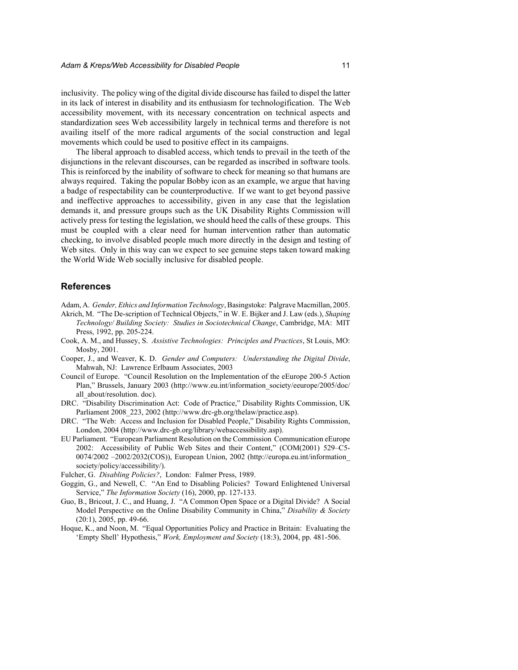inclusivity. The policy wing of the digital divide discourse has failed to dispel the latter in its lack of interest in disability and its enthusiasm for technologification. The Web accessibility movement, with its necessary concentration on technical aspects and standardization sees Web accessibility largely in technical terms and therefore is not availing itself of the more radical arguments of the social construction and legal movements which could be used to positive effect in its campaigns.

The liberal approach to disabled access, which tends to prevail in the teeth of the disjunctions in the relevant discourses, can be regarded as inscribed in software tools. This is reinforced by the inability of software to check for meaning so that humans are always required. Taking the popular Bobby icon as an example, we argue that having a badge of respectability can be counterproductive. If we want to get beyond passive and ineffective approaches to accessibility, given in any case that the legislation demands it, and pressure groups such as the UK Disability Rights Commission will actively press for testing the legislation, we should heed the calls of these groups. This must be coupled with a clear need for human intervention rather than automatic checking, to involve disabled people much more directly in the design and testing of Web sites. Only in this way can we expect to see genuine steps taken toward making the World Wide Web socially inclusive for disabled people.

#### **References**

- Adam, A. *Gender, Ethics and Information Technology*, Basingstoke: Palgrave Macmillan, 2005.
- Akrich, M. "The De-scription of Technical Objects," in W. E. Bijker and J. Law (eds.), *Shaping Technology/ Building Society: Studies in Sociotechnical Change*, Cambridge, MA: MIT Press, 1992, pp. 205-224.
- Cook, A. M., and Hussey, S. *Assistive Technologies: Principles and Practices*, St Louis, MO: Mosby, 2001.
- Cooper, J., and Weaver, K. D. *Gender and Computers: Understanding the Digital Divide*, Mahwah, NJ: Lawrence Erlbaum Associates, 2003
- Council of Europe. "Council Resolution on the Implementation of the eEurope 200-5 Action Plan," Brussels, January 2003 (http://www.eu.int/information\_society/eeurope/2005/doc/ all\_about/resolution. doc).
- DRC. "Disability Discrimination Act: Code of Practice," Disability Rights Commission, UK Parliament 2008 223, 2002 (http://www.drc-gb.org/thelaw/practice.asp).
- DRC. "The Web: Access and Inclusion for Disabled People," Disability Rights Commission, London, 2004 (http://www.drc-gb.org/library/webaccessibility.asp).
- EU Parliament. "European Parliament Resolution on the Commission Communication eEurope 2002: Accessibility of Public Web Sites and their Content," (COM(2001) 529–C5- 0074/2002 –2002/2032(COS)), European Union, 2002 (http://europa.eu.int/information\_ society/policy/accessibility/).

Fulcher, G. *Disabling Policies?*, London: Falmer Press, 1989.

- Goggin, G., and Newell, C. "An End to Disabling Policies? Toward Enlightened Universal Service," *The Information Society* (16), 2000, pp. 127-133.
- Guo, B., Bricout, J. C., and Huang, J. "A Common Open Space or a Digital Divide? A Social Model Perspective on the Online Disability Community in China," *Disability & Society* (20:1), 2005, pp. 49-66.
- Hoque, K., and Noon, M. "Equal Opportunities Policy and Practice in Britain: Evaluating the 'Empty Shell' Hypothesis," *Work, Employment and Society* (18:3), 2004, pp. 481-506.